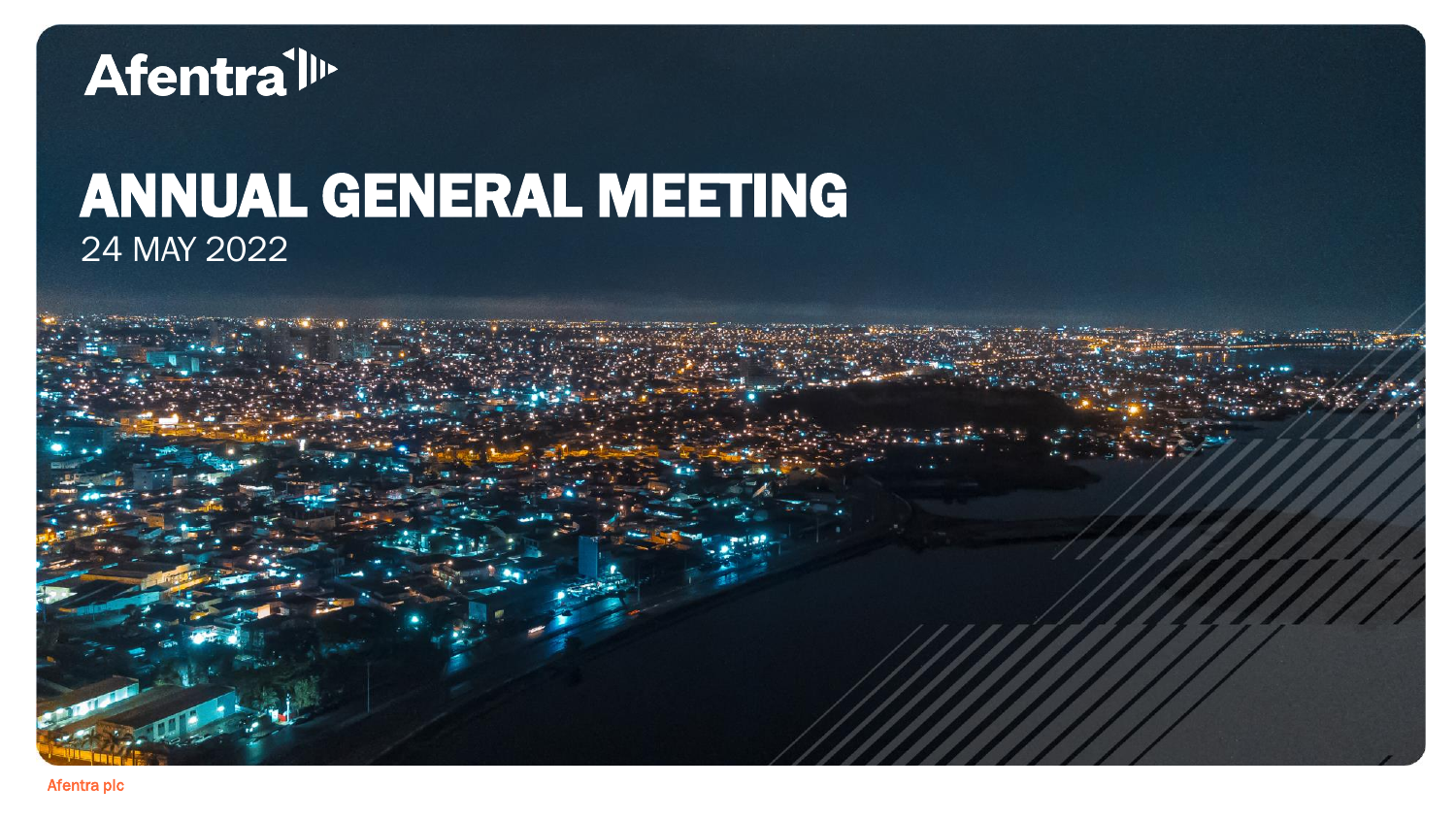

### ANNUAL GENERAL MEETING 24 MAY 2022

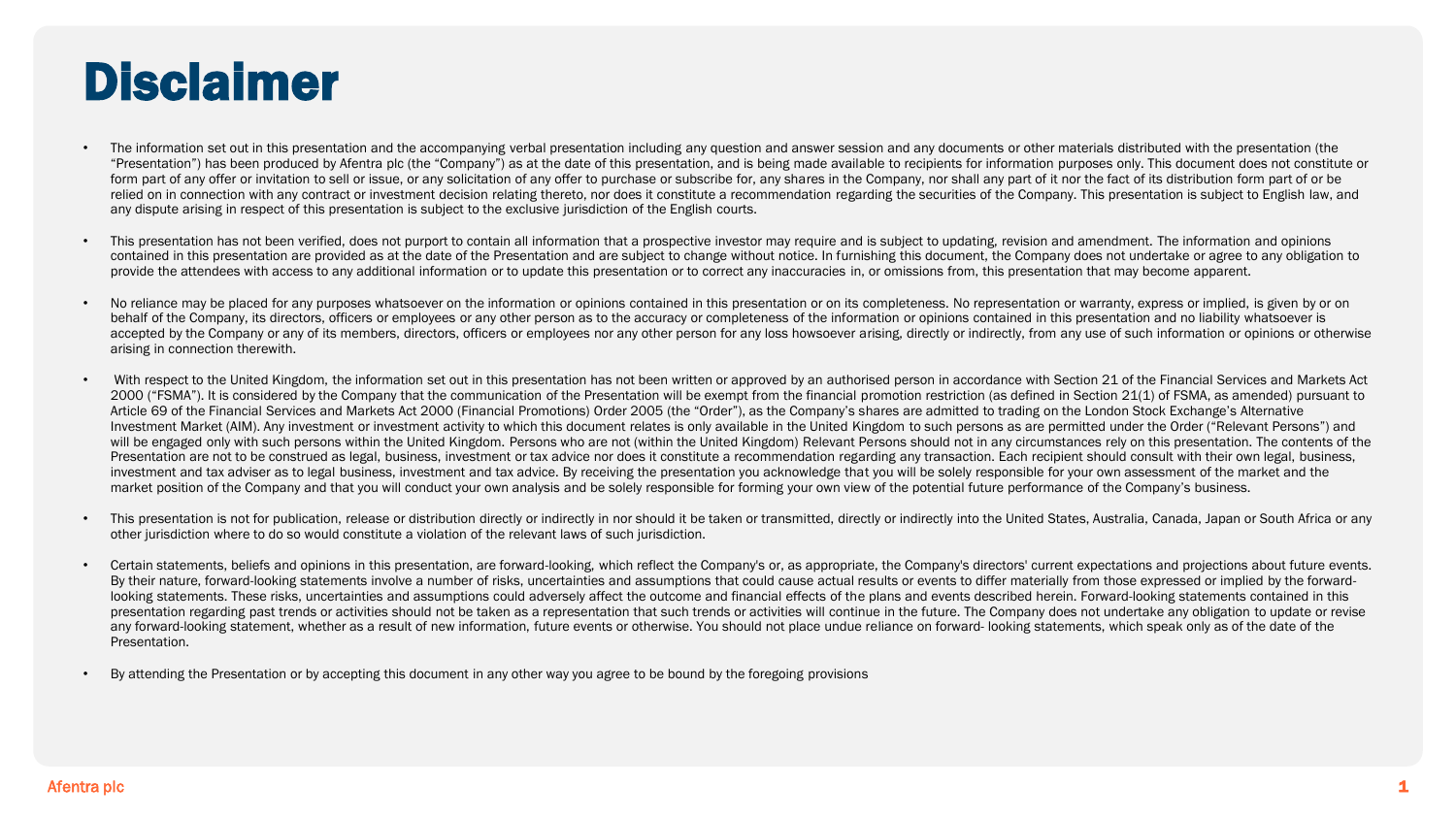### Disclaimer

- The information set out in this presentation and the accompanying verbal presentation including any question and answer session and any documents or other materials distributed with the presentation (the "Presentation") has been produced by Afentra plc (the "Company") as at the date of this presentation, and is being made available to recipients for information purposes only. This document does not constitute or form part of any offer or invitation to sell or issue, or any solicitation of any offer to purchase or subscribe for, any shares in the Company, nor shall any part of it nor the fact of its distribution form part of or be relied on in connection with any contract or investment decision relating thereto, nor does it constitute a recommendation regarding the securities of the Company. This presentation is subject to English law, and any dispute arising in respect of this presentation is subject to the exclusive jurisdiction of the English courts.
- This presentation has not been verified, does not purport to contain all information that a prospective investor may require and is subject to updating, revision and amendment. The information and opinions contained in this presentation are provided as at the date of the Presentation and are subject to change without notice. In furnishing this document, the Company does not undertake or agree to any obligation to provide the attendees with access to any additional information or to update this presentation or to correct any inaccuracies in, or omissions from, this presentation that may become apparent.
- No reliance may be placed for any purposes whatsoever on the information or opinions contained in this presentation or on its completeness. No representation or warranty, express or implied, is given by or on behalf of the Company, its directors, officers or employees or any other person as to the accuracy or completeness of the information or opinions contained in this presentation and no liability whatsoever is accepted by the Company or any of its members, directors, officers or employees nor any other person for any loss howsoever arising, directly or indirectly, from any use of such information or opinions or otherwise arising in connection therewith.
- With respect to the United Kingdom, the information set out in this presentation has not been written or approved by an authorised person in accordance with Section 21 of the Financial Services and Markets Act 2000 ("FSMA"). It is considered by the Company that the communication of the Presentation will be exempt from the financial promotion restriction (as defined in Section 21(1) of FSMA, as amended) pursuant to Article 69 of the Financial Services and Markets Act 2000 (Financial Promotions) Order 2005 (the "Order"), as the Company's shares are admitted to trading on the London Stock Exchange's Alternative Investment Market (AIM). Any investment or investment activity to which this document relates is only available in the United Kingdom to such persons as are permitted under the Order ("Relevant Persons") and will be engaged only with such persons within the United Kingdom. Persons who are not (within the United Kingdom) Relevant Persons should not in any circumstances rely on this presentation. The contents of the Presentation are not to be construed as legal, business, investment or tax advice nor does it constitute a recommendation regarding any transaction. Each recipient should consult with their own legal, business, investment and tax adviser as to legal business, investment and tax advice. By receiving the presentation you acknowledge that you will be solely responsible for your own assessment of the market and the market position of the Company and that you will conduct your own analysis and be solely responsible for forming your own view of the potential future performance of the Company's business.
- . This presentation is not for publication, release or distribution directly or indirectly in nor should it be taken or transmitted, directly or indirectly into the United States, Australia, Canada, Japan or South Africa o other jurisdiction where to do so would constitute a violation of the relevant laws of such jurisdiction.
- Certain statements, beliefs and opinions in this presentation, are forward-looking, which reflect the Company's or, as appropriate, the Company's directors' current expectations and projections about future events. By their nature, forward-looking statements involve a number of risks, uncertainties and assumptions that could cause actual results or events to differ materially from those expressed or implied by the forwardlooking statements. These risks, uncertainties and assumptions could adversely affect the outcome and financial effects of the plans and events described herein. Forward-looking statements contained in this presentation regarding past trends or activities should not be taken as a representation that such trends or activities will continue in the future. The Company does not undertake any obligation to update or revise any forward-looking statement, whether as a result of new information, future events or otherwise. You should not place undue reliance on forward-looking statements, which speak only as of the date of the Presentation.
- By attending the Presentation or by accepting this document in any other way you agree to be bound by the foregoing provisions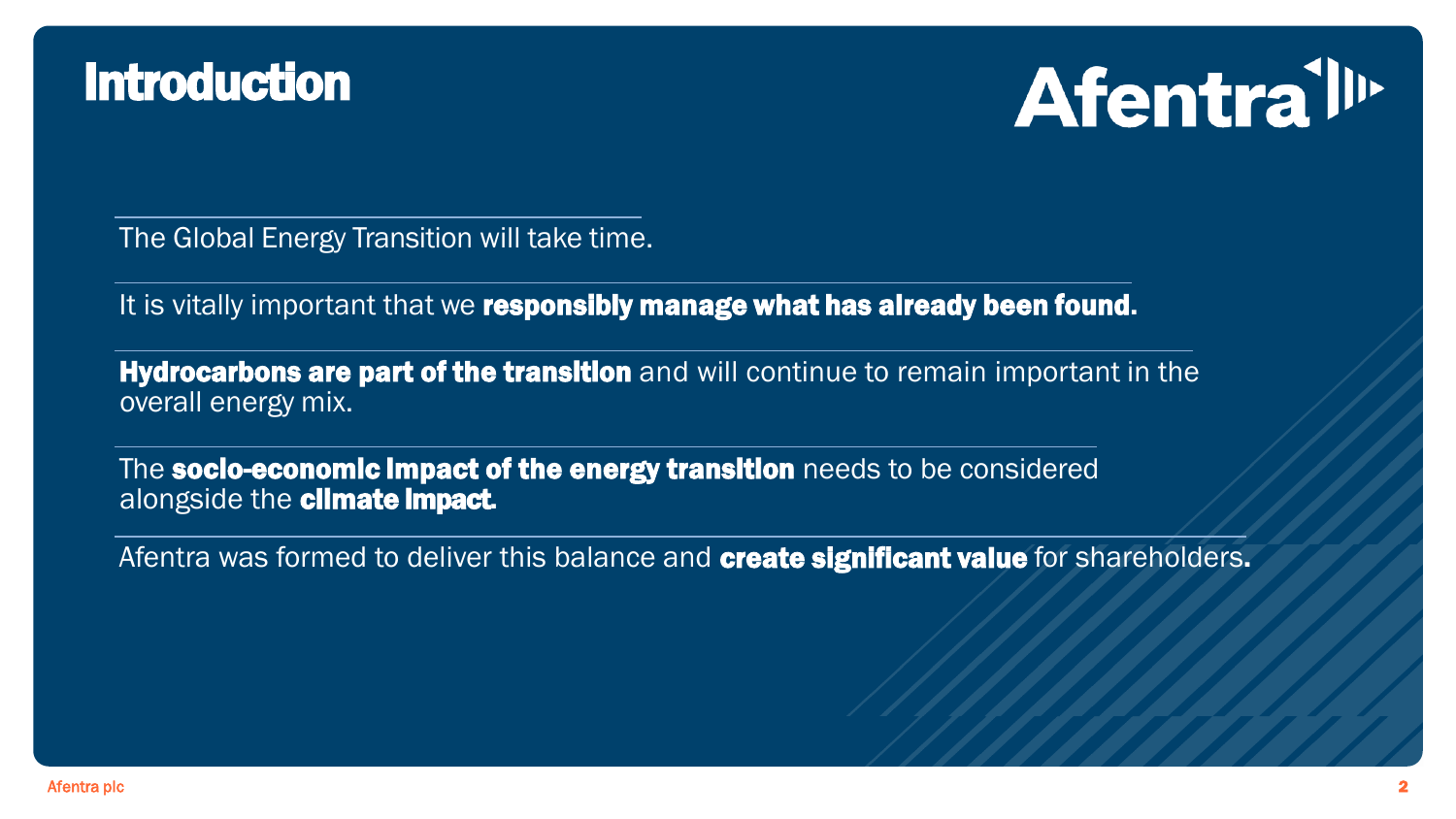### **Introduction**



The Global Energy Transition will take time.

It is vitally important that we responsibly manage what has already been found.

**Hydrocarbons are part of the transition** and will continue to remain important in the overall energy mix.

The socio-economic impact of the energy transition needs to be considered alongside the **climate impact**.

Afentra was formed to deliver this balance and **create significant value** for shareholders.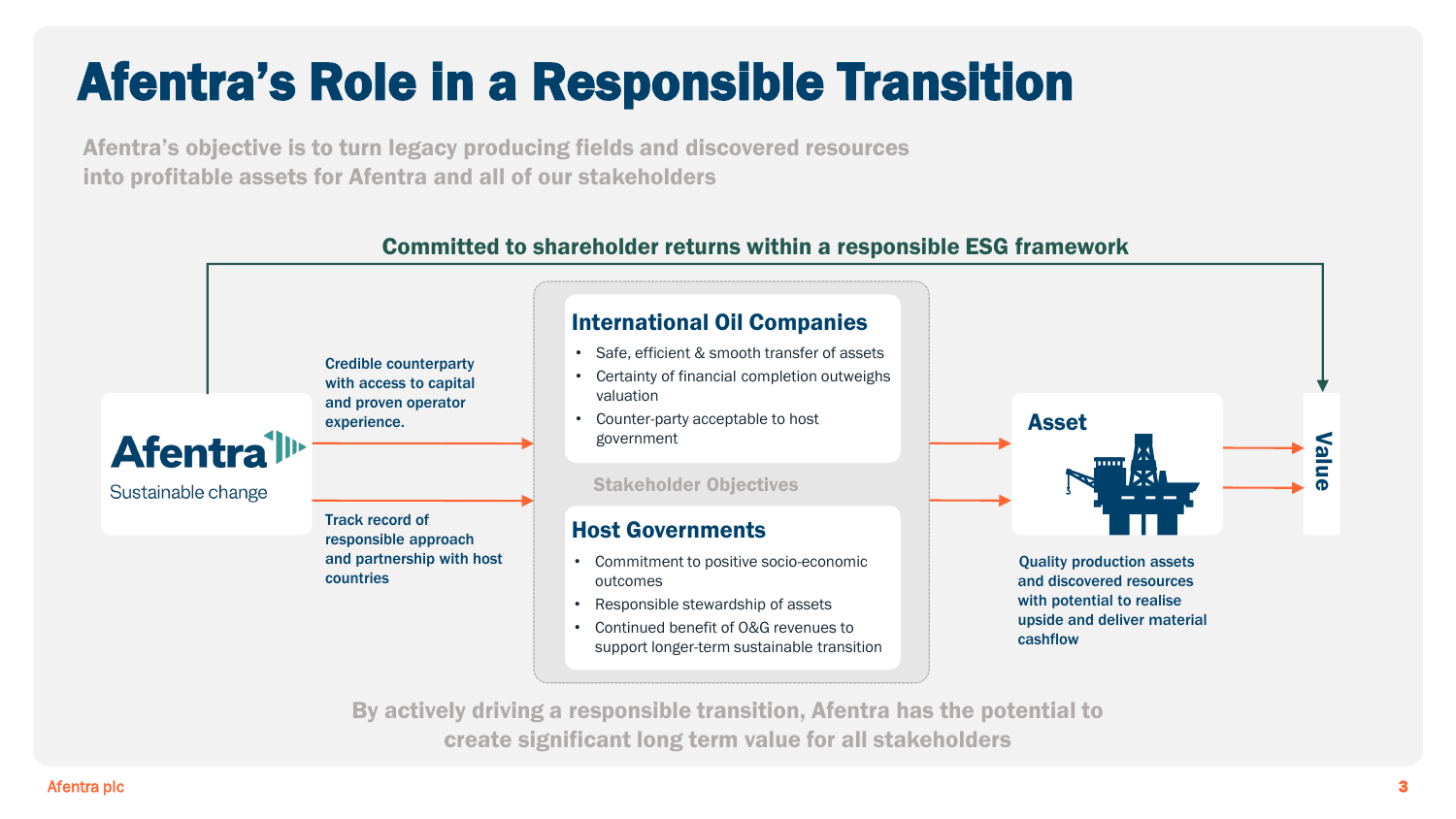# Afentra's Role in a Responsible Transition

Afentra's objective is to turn legacy producing fields and discovered resources into profitable assets for Afentra and all of our stakeholders

#### Committed to shareholder returns within a responsible ESG framework



create significant long term value for all stakeholders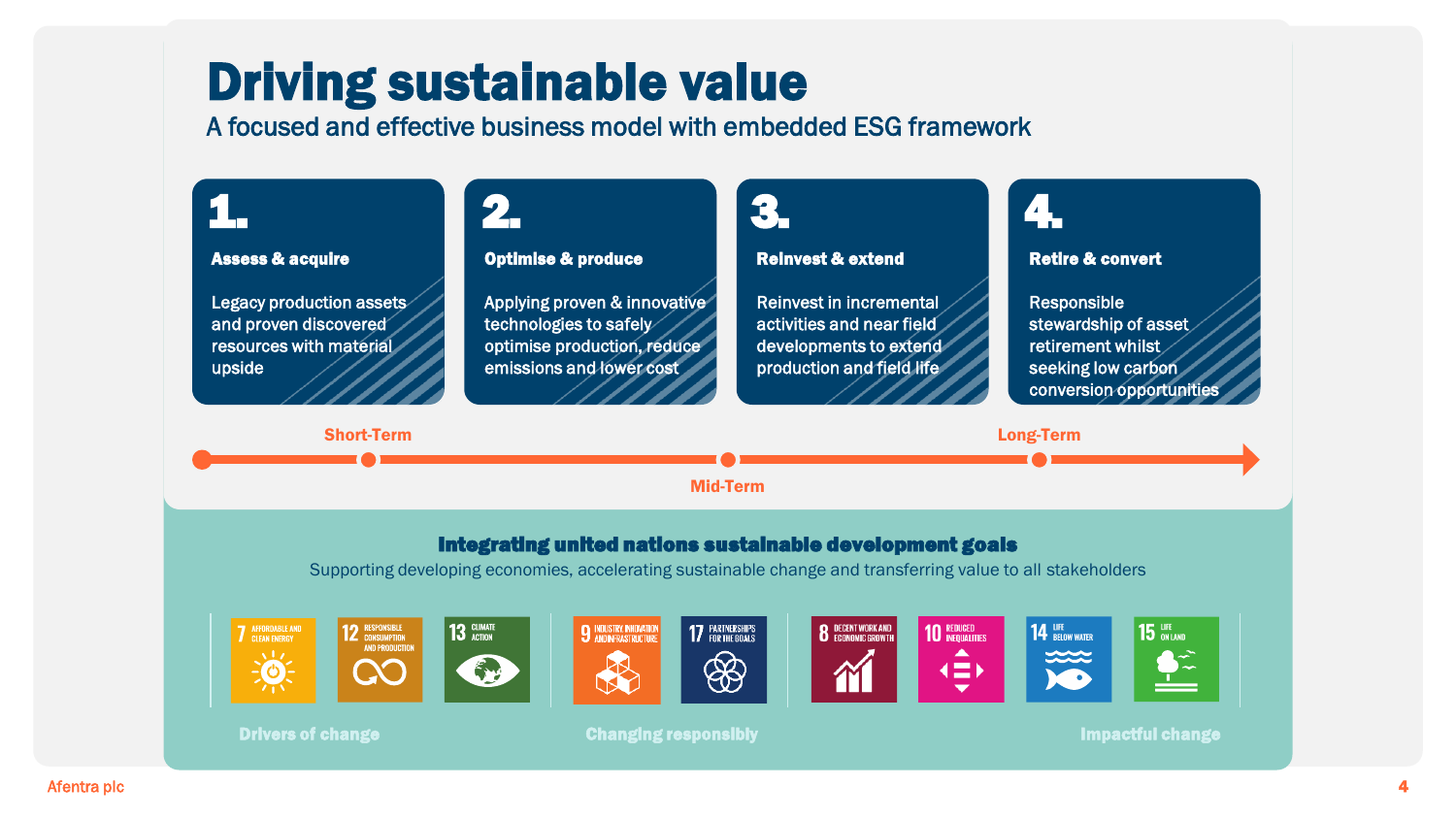### Driving sustainable value

A focused and effective business model with embedded ESG framework

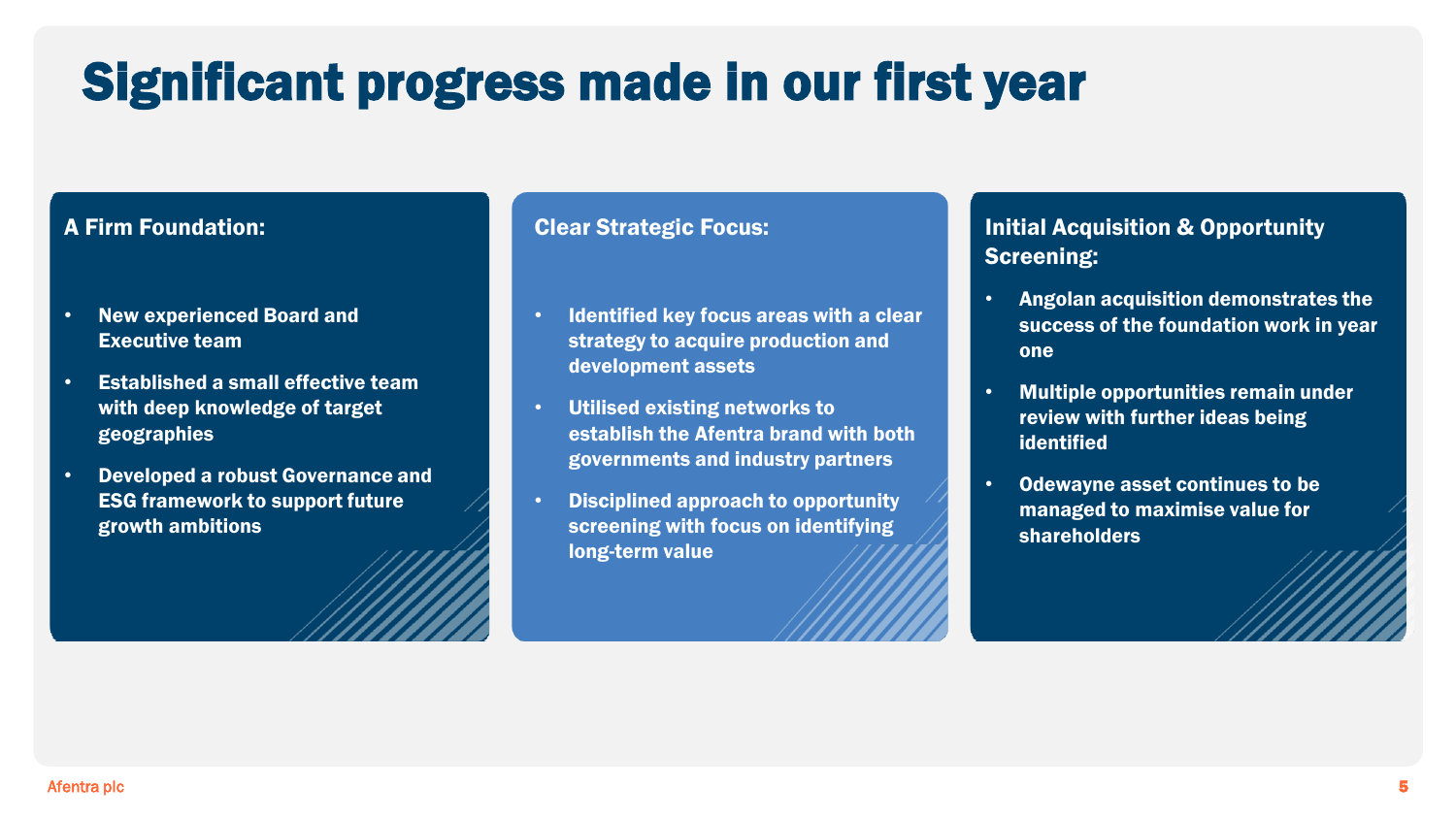# Significant progress made in our first year

#### A Firm Foundation:

- New experienced Board and Executive team
- Established a small effective team with deep knowledge of target geographies
- Developed a robust Governance and ESG framework to support future growth ambitions

#### Clear Strategic Focus:

- Identified key focus areas with a clear strategy to acquire production and development assets
- Utilised existing networks to establish the Afentra brand with both governments and industry partners
- Disciplined approach to opportunity screening with focus on identifying long-term value

#### Initial Acquisition & Opportunity Screening:

- Angolan acquisition demonstrates the success of the foundation work in year one
- Multiple opportunities remain under review with further ideas being identified
- Odewayne asset continues to be managed to maximise value for shareholders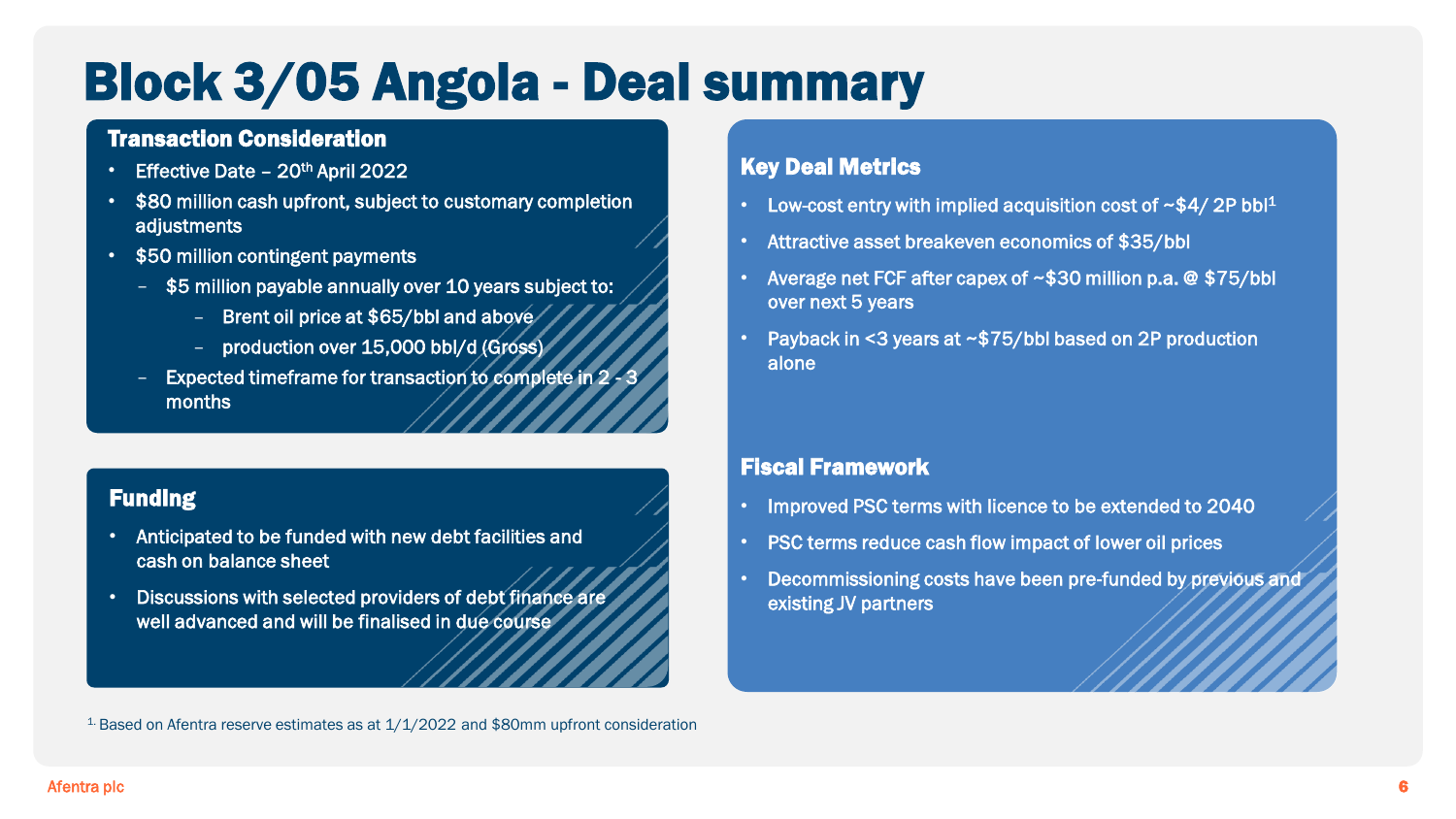### Block 3/05 Angola - Deal summary

#### Transaction Consideration

- Effective Date  $20<sup>th</sup>$  April 2022
- \$80 million cash upfront, subject to customary completion adjustments
- \$50 million contingent payments
	- \$5 million payable annually over 10 years subject to:
		- Brent oil price at \$65/bbl and above
		- production over 15,000 bbl/d (Gross)
	- Expected timeframe for transaction to complete in 2 3 months

#### Funding

- Anticipated to be funded with new debt facilities and cash on balance sheet
- Discussions with selected providers of debt finance are well advanced and will be finalised in due course

#### Key Deal Metrics

- Low-cost entry with implied acquisition cost of  $\sim$ \$4/2P bbl<sup>1</sup>
- Attractive asset breakeven economics of \$35/bbl
- Average net FCF after capex of ~\$30 million p.a. @ \$75/bbl over next 5 years
- Payback in <3 years at ~\$75/bbl based on 2P production alone

#### Fiscal Framework

- Improved PSC terms with licence to be extended to 2040
- PSC terms reduce cash flow impact of lower oil prices
- Decommissioning costs have been pre-funded by previous and existing JV partners

 $1$ - Based on Afentra reserve estimates as at  $1/1/2022$  and \$80mm upfront consideration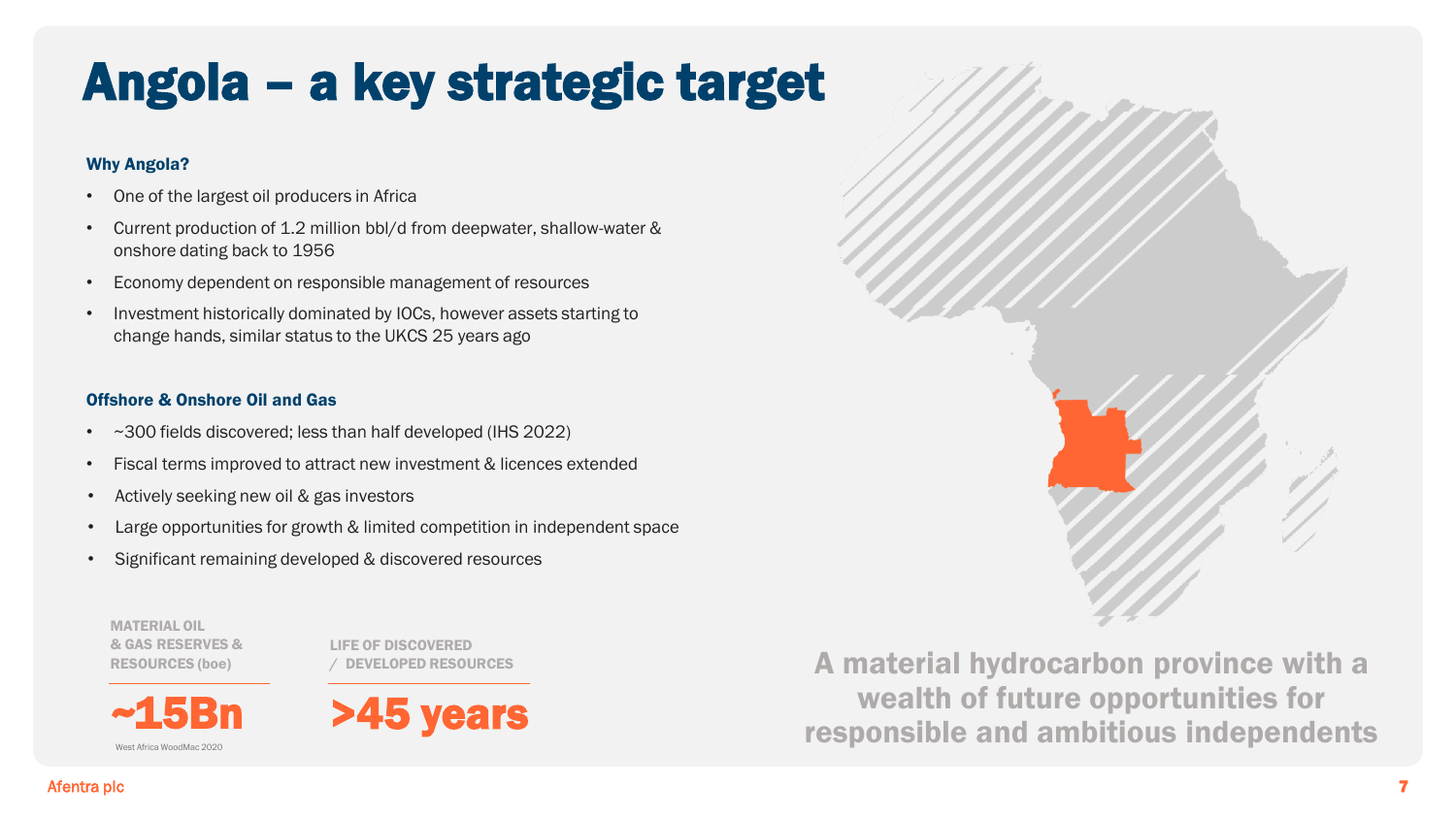# Angola – a key strategic target

#### Why Angola?

- One of the largest oil producers in Africa
- Current production of 1.2 million bbl/d from deepwater, shallow-water & onshore dating back to 1956
- Economy dependent on responsible management of resources
- Investment historically dominated by IOCs, however assets starting to change hands, similar status to the UKCS 25 years ago

#### Offshore & Onshore Oil and Gas

- ~300 fields discovered; less than half developed (IHS 2022)
- Fiscal terms improved to attract new investment & licences extended
- Actively seeking new oil & gas investors
- Large opportunities for growth & limited competition in independent space
- Significant remaining developed & discovered resources

MATERIAL OIL & GAS RESERVES & RESOURCES (boe)

~15Bn

West Africa WoodMac 2020

LIFE OF DISCOVERED / DEVELOPED RESOURCES



A material hydrocarbon province with a wealth of future opportunities for responsible and ambitious independents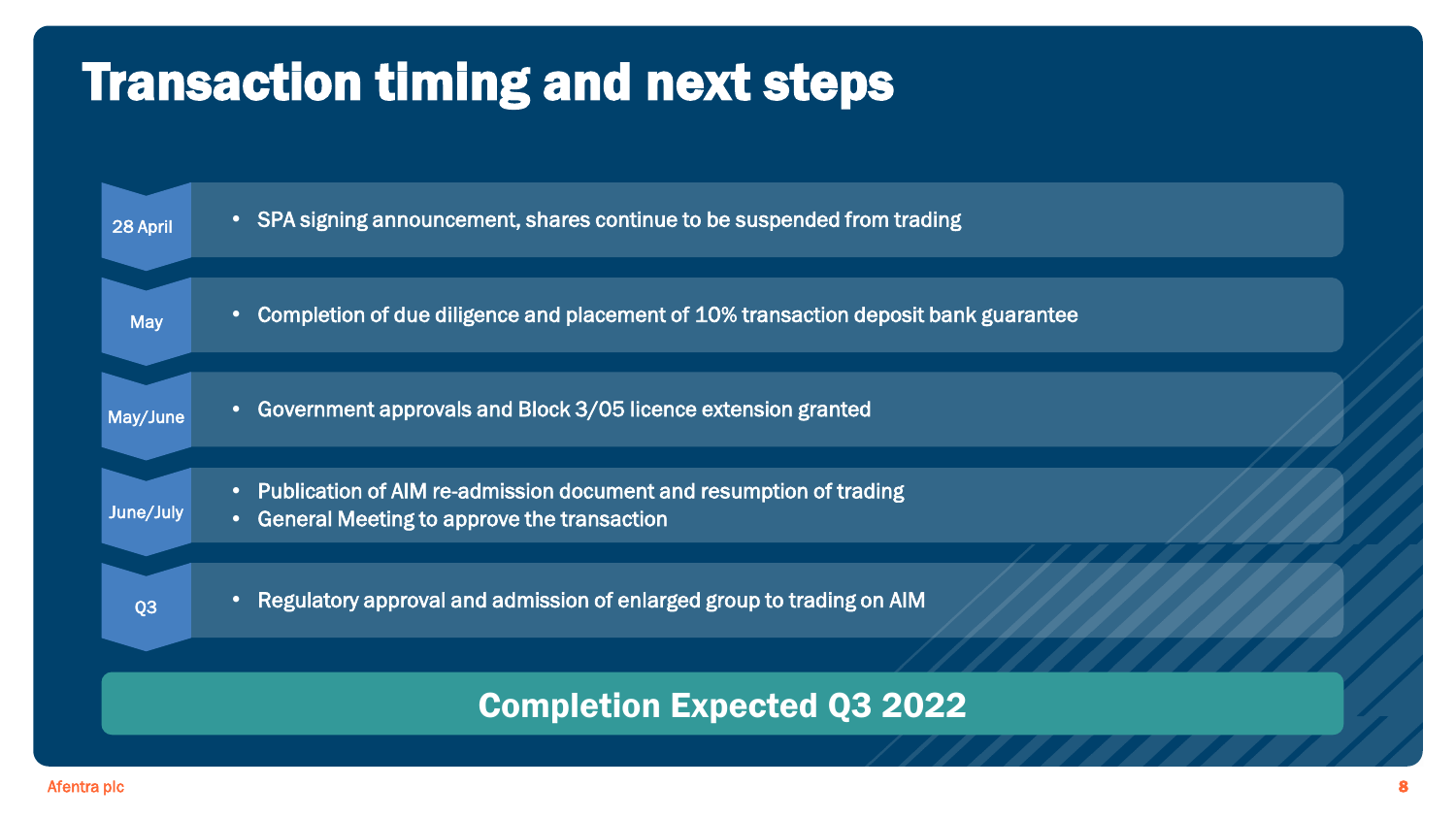### Transaction timing and next steps

| 28 April       | • SPA signing announcement, shares continue to be suspended from trading                                                        |
|----------------|---------------------------------------------------------------------------------------------------------------------------------|
| <b>May</b>     | Completion of due diligence and placement of 10% transaction deposit bank guarantee<br>$\bullet$                                |
| May/June       | Government approvals and Block 3/05 licence extension granted<br>$\bullet$                                                      |
| June/July      | • Publication of AIM re-admission document and resumption of trading<br>General Meeting to approve the transaction<br>$\bullet$ |
| Q <sub>3</sub> | Regulatory approval and admission of enlarged group to trading on AIM<br>$\bullet$                                              |
|                | <b>Completion Expected Q3 2022</b>                                                                                              |
|                |                                                                                                                                 |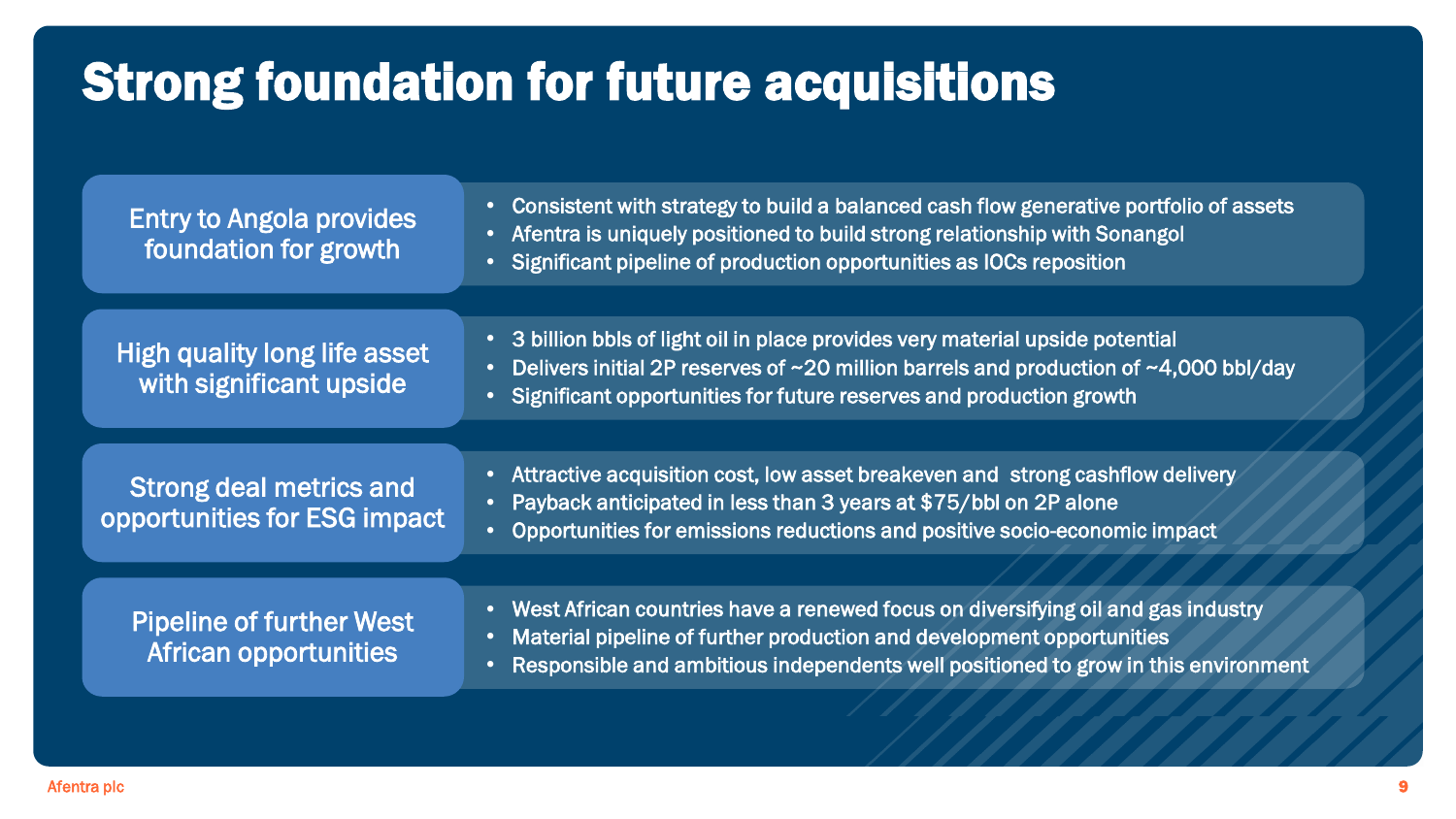### Strong foundation for future acquisitions

| <b>Entry to Angola provides</b><br>foundation for growth        | • Consistent with strategy to build a balanced cash flow generative portfolio of assets<br>• Afentra is uniquely positioned to build strong relationship with Sonangol<br>• Significant pipeline of production opportunities as IOCs reposition                |  |  |  |  |
|-----------------------------------------------------------------|----------------------------------------------------------------------------------------------------------------------------------------------------------------------------------------------------------------------------------------------------------------|--|--|--|--|
|                                                                 |                                                                                                                                                                                                                                                                |  |  |  |  |
| <b>High quality long life asset</b><br>with significant upside  | • 3 billion bbls of light oil in place provides very material upside potential<br>Delivers initial 2P reserves of ~20 million barrels and production of ~4,000 bbl/day<br>$\bullet$<br>• Significant opportunities for future reserves and production growth   |  |  |  |  |
|                                                                 |                                                                                                                                                                                                                                                                |  |  |  |  |
| <b>Strong deal metrics and</b><br>opportunities for ESG impact  | Attractive acquisition cost, low asset breakeven and strong cashflow delivery<br>Payback anticipated in less than 3 years at \$75/bbl on 2P alone<br>$\bullet$<br>Opportunities for emissions reductions and positive socio-economic impact<br>$\bullet$       |  |  |  |  |
|                                                                 |                                                                                                                                                                                                                                                                |  |  |  |  |
| <b>Pipeline of further West</b><br><b>African opportunities</b> | • West African countries have a renewed focus on diversifying oil and gas industry<br>Material pipeline of further production and development opportunities<br>Responsible and ambitious independents well positioned to grow in this environment<br>$\bullet$ |  |  |  |  |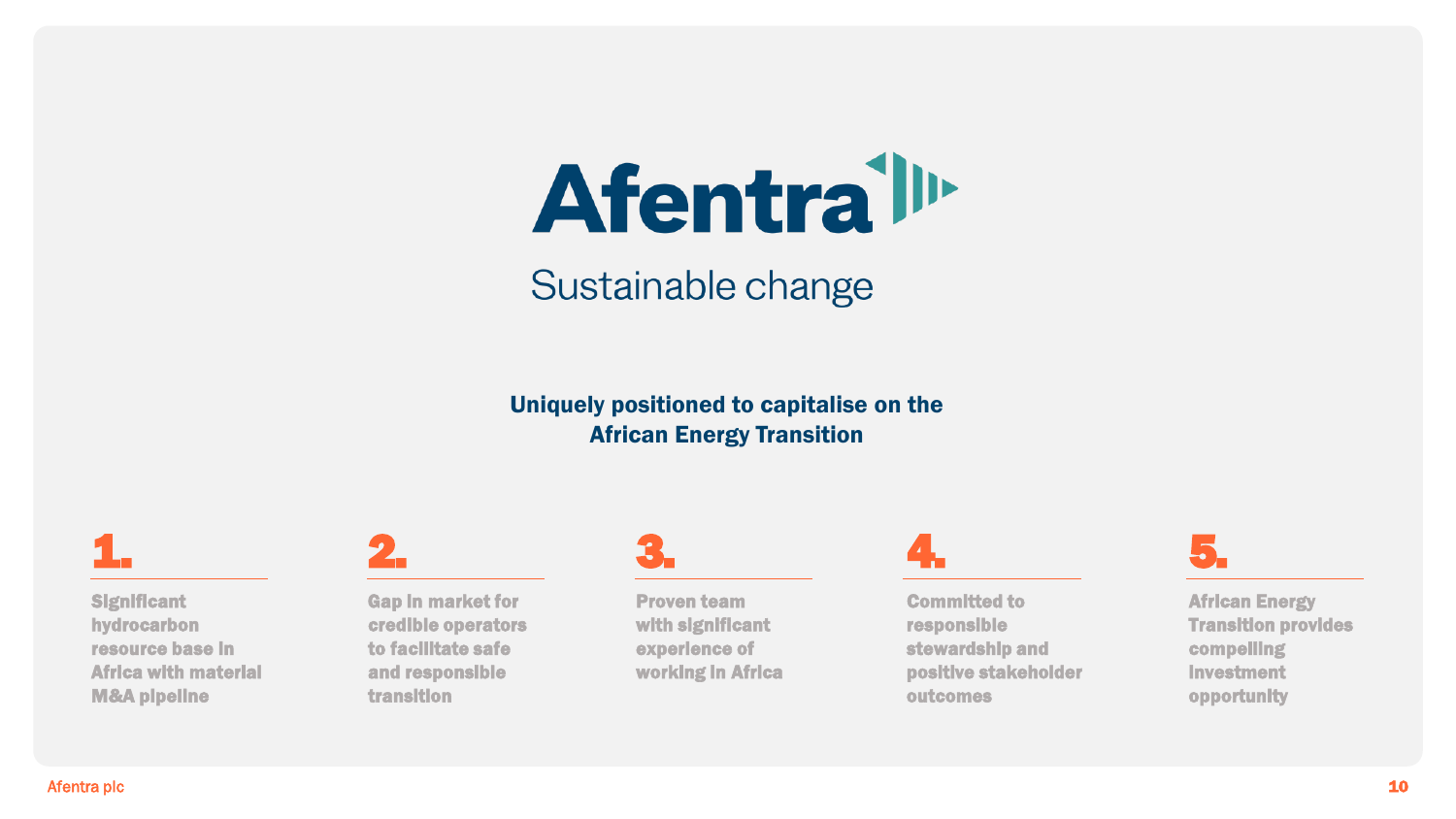# **Afentrall**

### Sustainable change

#### Uniquely positioned to capitalise on the African Energy Transition

1.

**Significant** hydrocarbon resource base in Africa with material M&A pipeline



Gap in market for credible operators to facilitate safe and responsible transition

### 3.

Proven team with significant experience of working in Africa

### 4.

Committed to responsible stewardship and positive stakeholder outcomes



African Energy Transition provides compelling investment opportunity